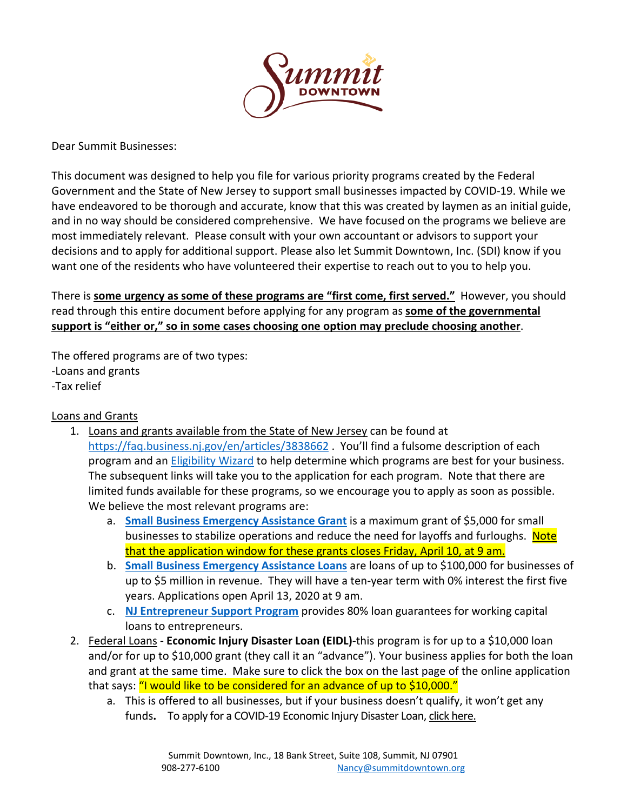

Dear Summit Businesses:

This document was designed to help you file for various priority programs created by the Federal Government and the State of New Jersey to support small businesses impacted by COVID-19. While we have endeavored to be thorough and accurate, know that this was created by laymen as an initial guide, and in no way should be considered comprehensive. We have focused on the programs we believe are most immediately relevant. Please consult with your own accountant or advisors to support your decisions and to apply for additional support. Please also let Summit Downtown, Inc. (SDI) know if you want one of the residents who have volunteered their expertise to reach out to you to help you.

There is **some urgency as some of these programs are "first come, first served."** However, you should read through this entire document before applying for any program as **some of the governmental support is "either or," so in some cases choosing one option may preclude choosing another**.

The offered programs are of two types: -Loans and grants -Tax relief

## Loans and Grants

- 1. Loans and grants available from the State of New Jersey can be found at <https://faq.business.nj.gov/en/articles/3838662> . You'll find a fulsome description of each program and an [Eligibility Wizard](https://assistance.business.nj.gov/) to help determine which programs are best for your business. The subsequent links will take you to the application for each program. Note that there are limited funds available for these programs, so we encourage you to apply as soon as possible. We believe the most relevant programs are:
	- a. **[Small Business Emergency Assistance Grant](https://forms.business.nj.gov/grant/)** is a maximum grant of \$5,000 for small businesses to stabilize operations and reduce the need for layoffs and furloughs. Note that the application window for these grants closes Friday, April 10, at 9 am.
	- b. **[Small Business Emergency Assistance Loans](https://faq.business.nj.gov/en/articles/3835238-what-loans-are-available-to-small-businesses-via-the-njeda-small-business-emergency-assistance-loan)** are loans of up to \$100,000 for businesses of up to \$5 million in revenue. They will have a ten-year term with 0% interest the first five years. Applications open April 13, 2020 at 9 am.
	- c. **[NJ Entrepreneur Support Program](https://faq.business.nj.gov/en/articles/3835239-what-assistance-is-available-for-startup-investors-or-entrepreneurs-via-the-njeda-entrepreneur-guarantee-program)** provides 80% loan guarantees for working capital loans to entrepreneurs.
- 2. Federal Loans **Economic Injury Disaster Loan (EIDL)**-this program is for up to a \$10,000 loan and/or for up to \$10,000 grant (they call it an "advance"). Your business applies for both the loan and grant at the same time. Make sure to click the box on the last page of the online application that says: "I would like to be considered for an advance of up to \$10,000."
	- a. This is offered to all businesses, but if your business doesn't qualify, it won't get any funds**.** To apply for a COVID-19 Economic Injury Disaster Loan, [click here.](https://covid19relief.sba.gov/)